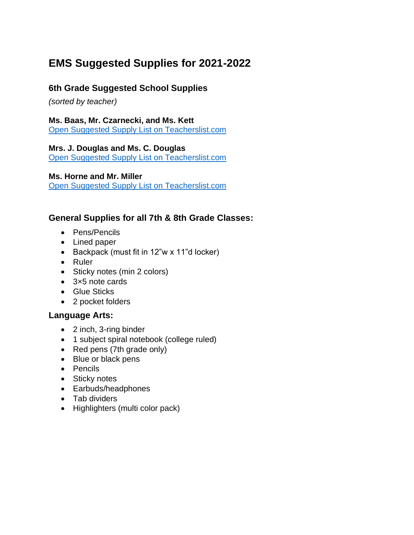# **EMS Suggested Supplies for 2021-2022**

# **6th Grade Suggested School Supplies**

*(sorted by teacher)*

**Ms. Baas, Mr. Czarnecki, and Ms. Kett**

[Open Suggested Supply List on Teacherslist.com](https://app.teacherlists.com/schools/106371-eastern-middle-school/3115781-6th-grade-back-to-school-supply-list-baas-czarnecki-kett-team/mrs-baas-mr-czarnecki-and-mrs-kett/supply-list)

**Mrs. J. Douglas and Ms. C. Douglas**

[Open Suggested Supply List on Teacherslist.com](https://app.teacherlists.com/schools/106371-eastern-middle-school/3085180-6th-grade-back-to-school-supply-list-douglas-douglas/ms-douglas-and-mrs-douglas/supply-list)

**Ms. Horne and Mr. Miller**

[Open Suggested Supply List on Teacherslist.com](https://app.teacherlists.com/schools/106371-eastern-middle-school/2390755-6th-grade-back-to-school-supply-list-horne-miller/ms-horne-and-mr-miller/supply-list)

#### **General Supplies for all 7th & 8th Grade Classes:**

- Pens/Pencils
- Lined paper
- Backpack (must fit in 12"w x 11"d locker)
- Ruler
- Sticky notes (min 2 colors)
- 3×5 note cards
- Glue Sticks
- 2 pocket folders

#### **Language Arts:**

- 2 inch, 3-ring binder
- 1 subject spiral notebook (college ruled)
- Red pens (7th grade only)
- Blue or black pens
- Pencils
- Sticky notes
- Earbuds/headphones
- Tab dividers
- Highlighters (multi color pack)